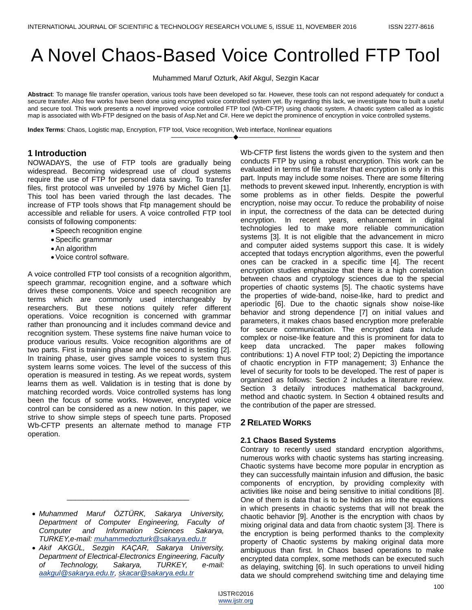# A Novel Chaos-Based Voice Controlled FTP Tool

Muhammed Maruf Ozturk, Akif Akgul, Sezgin Kacar

**Abstract**: To manage file transfer operation, various tools have been developed so far. However, these tools can not respond adequately for conduct a secure transfer. Also few works have been done using encrypted voice controlled system yet. By regarding this lack, we investigate how to built a useful and secure tool. This work presents a novel improved voice controlled FTP tool (Wb-CFTP) using chaotic system. A chaotic system called as logistic map is associated with Wb-FTP designed on the basis of Asp.Net and C#. Here we depict the prominence of encryption in voice controlled systems.

————————————————————

**Index Terms**: Chaos, Logistic map, Encryption, FTP tool, Voice recognition, Web interface, Nonlinear equations

## **1 Introduction**

NOWADAYS, the use of FTP tools are gradually being widespread. Becoming widespread use of cloud systems require the use of FTP for personel data saving. To transfer files, first protocol was unveiled by 1976 by Michel Gien [1]. This tool has been varied through the last decades. The increase of FTP tools shows that Ftp management should be accessible and reliable for users. A voice controlled FTP tool consists of following components:

- Speech recognition engine
- Specific grammar
- An algorithm
- Voice control software.

A voice controlled FTP tool consists of a recognition algorithm, speech grammar, recognition engine, and a software which drives these components. Voice and speech recognition are terms which are commonly used interchangeably by researchers. But these notions quitely refer different operations. Voice recognition is concerned with grammar rather than pronouncing and it includes command device and recognition system. These systems fine naive human voice to produce various results. Voice recognition algorithms are of two parts. First is training phase and the second is testing [2]. In training phase, user gives sample voices to system thus system learns some voices. The level of the success of this operation is measured in testing. As we repeat words, system learns them as well. Validation is in testing that is done by matching recorded words. Voice controlled systems has long been the focus of some works. However, encrypted voice control can be considered as a new notion. In this paper, we strive to show simple steps of speech tune parts. Proposed Wb-CFTP presents an alternate method to manage FTP operation.

\_\_\_\_\_\_\_\_\_\_\_\_\_\_\_\_\_\_\_\_\_\_\_\_\_\_\_\_\_\_

Wb-CFTP first listens the words given to the system and then conducts FTP by using a robust encryption. This work can be evaluated in terms of file transfer that encryption is only in this part. Inputs may include some noises. There are some filtering methods to prevent skewed input. Inherently, encryption is with some problems as in other fields. Despite the powerful encryption, noise may occur. To reduce the probability of noise in input, the correctness of the data can be detected during encryption. In recent years, enhancement in digital technologies led to make more reliable communication systems [3]. It is not eligible that the advancement in micro and computer aided systems support this case. It is widely accepted that todays encryption algorithms, even the powerful ones can be cracked in a specific time [4]. The recent encryption studies emphasize that there is a high correlation between chaos and cryptology sciences due to the special properties of chaotic systems [5]. The chaotic systems have the properties of wide-band, noise-like, hard to predict and aperiodic [6]. Due to the chaotic signals show noise-like behavior and strong dependence [7] on initial values and parameters, it makes chaos based encryption more preferable for secure communication. The encrypted data include complex or noise-like feature and this is prominent for data to keep data uncracked. The paper makes following contributions: 1) A novel FTP tool; 2) Depicting the importance of chaotic encryption in FTP management; 3) Enhance the level of security for tools to be developed. The rest of paper is organized as follows: Section 2 includes a literature review. Section 3 detaily introduces mathematical background, method and chaotic system. In Section 4 obtained results and the contribution of the paper are stressed.

## **2 RELATED WORKS**

## **2.1 Chaos Based Systems**

Contrary to recently used standard encryption algorithms, numerous works with chaotic systems has starting increasing. Chaotic systems have become more popular in encryption as they can successfully maintain infusion and diffusion, the basic components of encryption, by providing complexity with activities like noise and being sensitive to initial conditions [8]. One of them is data that is to be hidden as into the equations in which presents in chaotic systems that will not break the chaotic behavior [9]. Another is the encryption with chaos by mixing original data and data from chaotic system [3]. There is the encryption is being performed thanks to the complexity property of Chaotic systems by making original data more ambiguous than first. In Chaos based operations to make encrypted data complex, some methods can be executed such as delaying, switching [6]. In such operations to unveil hiding data we should comprehend switching time and delaying time

*Muhammed Maruf ÖZTÜRK, Sakarya University, Department of Computer Engineering, Faculty of Computer and Information Sciences Sakarya, TURKEY,e-mail: [muhammedozturk@sakarya.edu.tr](mailto:muhammedozturk@sakarya.edu.tr)*

*Akif AKGÜL, Sezgin KAÇAR, Sakarya University, Department of Electrical-Electronics Engineering, Faculty of Technology, Sakarya, TURKEY, e-mail: [aakgul@sakarya.edu.tr,](mailto:aakgul@sakarya.edu.tr) [skacar@sakarya.edu.tr](mailto:skacar@sakarya.edu.tr)*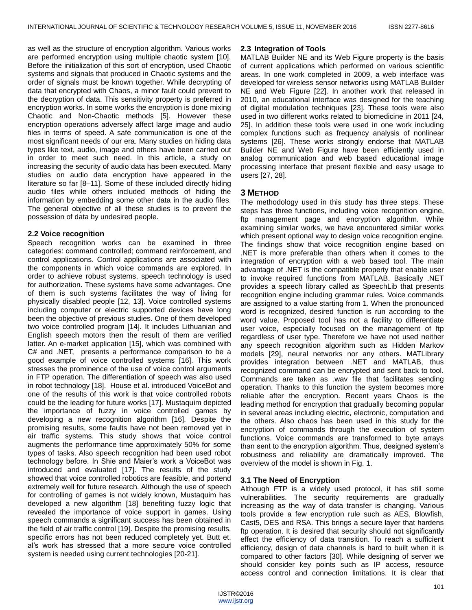as well as the structure of encryption algorithm. Various works are performed encryption using multiple chaotic system [10]. Before the initialization of this sort of encryption, used Chaotic systems and signals that produced in Chaotic systems and the order of signals must be known together. While decrypting of data that encrypted with Chaos, a minor fault could prevent to the decryption of data. This sensitivity property is preferred in encryption works. In some works the encryption is done mixing Chaotic and Non-Chaotic methods [5]. However these encryption operations adversely affect large image and audio files in terms of speed. A safe communication is one of the most significant needs of our era. Many studies on hiding data types like text, audio, image and others have been carried out in order to meet such need. In this article, a study on increasing the security of audio data has been executed. Many studies on audio data encryption have appeared in the literature so far [8–11]. Some of these included directly hiding audio files while others included methods of hiding the information by embedding some other data in the audio files. The general objective of all these studies is to prevent the possession of data by undesired people.

#### **2.2 Voice recognition**

Speech recognition works can be examined in three categories: command controlled; command reinforcement, and control applications. Control applications are associated with the components in which voice commands are explored. In order to achieve robust systems, speech technology is used for authorization. These systems have some advantages. One of them is such systems facilitates the way of living for physically disabled people [12, 13]. Voice controlled systems including computer or electric supported devices have long been the objective of previous studies. One of them developed two voice controlled program [14]. It includes Lithuanian and English speech motors then the result of them are verified latter. An e-market application [15], which was combined with C# and .NET, presents a performance comparison to be a good example of voice controlled systems [16]. This work stresses the prominence of the use of voice control arguments in FTP operation. The differentiation of speech was also used in robot technology [18]. House et al. introduced VoiceBot and one of the results of this work is that voice controlled robots could be the leading for future works [17]. Mustaquim depicted the importance of fuzzy in voice controlled games by developing a new recognition algorithm [16]. Despite the promising results, some faults have not been removed yet in air traffic systems. This study shows that voice control augments the performance time approximately 50% for some types of tasks. Also speech recognition had been used robot technology before. In Shie and Maier's work a VoiceBot was introduced and evaluated [17]. The results of the study showed that voice controlled robotics are feasible, and portend extremely well for future research. Although the use of speech for controlling of games is not widely known, Mustaquim has developed a new algorithm [18] benefiting fuzzy logic that revealed the importance of voice support in games. Using speech commands a significant success has been obtained in the field of air traffic control [19]. Despite the promising results, specific errors has not been reduced completely yet. Butt et. al's work has stressed that a more secure voice controlled system is needed using current technologies [20-21].

### **2.3 Integration of Tools**

MATLAB Builder NE and its Web Figure property is the basis of current applications which performed on various scientific areas. In one work completed in 2009, a web interface was developed for wireless sensor networks using MATLAB Builder NE and Web Figure [22]. In another work that released in 2010, an educational interface was designed for the teaching of digital modulation techniques [23]. These tools were also used in two different works related to biomedicine in 2011 [24, 25]. In addition these tools were used in one work including complex functions such as frequency analysis of nonlinear systems [26]. These works strongly endorse that MATLAB Builder NE and Web Figure have been efficiently used in analog communication and web based educational image processing interface that present flexible and easy usage to users [27, 28].

## **3 METHOD**

The methodology used in this study has three steps. These steps has three functions, including voice recognition engine, ftp management page and encryption algorithm. While examining similar works, we have encountered similar works which present optional way to design voice recognition engine. The findings show that voice recognition engine based on .NET is more preferable than others when it comes to the integration of encryption with a web based tool. The main advantage of .NET is the compatible property that enable user to invoke required functions from MATLAB. Basically .NET provides a speech library called as SpeechLib that presents recognition engine including grammar rules. Voice commands are assigned to a value starting from 1. When the pronounced word is recognized, desired function is run according to the word value. Proposed tool has not a facility to differentiate user voice, especially focused on the management of ftp regardless of user type. Therefore we have not used neither any speech recognition algorithm such as Hidden Markov models [29], neural networks nor any others. MATLibrary provides integration between .NET and MATLAB, thus recognized command can be encrypted and sent back to tool. Commands are taken as .wav file that facilitates sending operation. Thanks to this function the system becomes more reliable after the encryption. Recent years Chaos is the leading method for encryption that gradually becoming popular in several areas including electric, electronic, computation and the others. Also chaos has been used in this study for the encryption of commands through the execution of system functions. Voice commands are transformed to byte arrays than sent to the encryption algorithm. Thus, designed system's robustness and reliability are dramatically improved. The overview of the model is shown in Fig. 1.

## **3.1 The Need of Encryption**

Although FTP is a widely used protocol, it has still some vulnerabilities. The security requirements are gradually increasing as the way of data transfer is changing. Various tools provide a few encryption rule such as AES, Blowfish, Cast5, DES and RSA. This brings a secure layer that hardens ftp operation. It is desired that security should not significantly effect the efficiency of data transition. To reach a sufficient efficiency, design of data channels is hard to built when it is compared to other factors [30]. While designing of server we should consider key points such as IP access, resource access control and connection limitations. It is clear that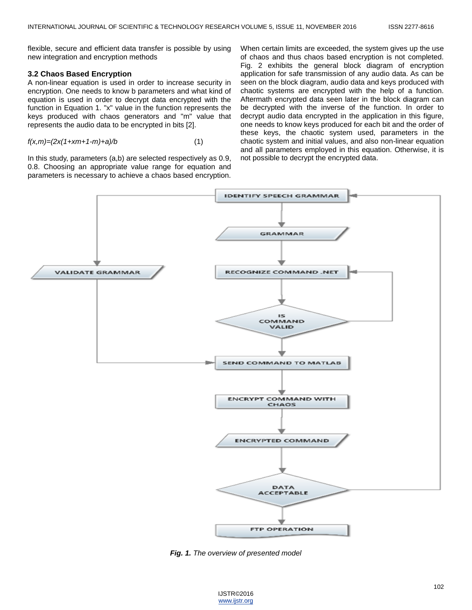flexible, secure and efficient data transfer is possible by using new integration and encryption methods

#### **3.2 Chaos Based Encryption**

A non-linear equation is used in order to increase security in encryption. One needs to know b parameters and what kind of equation is used in order to decrypt data encrypted with the function in Equation 1. "x" value in the function represents the keys produced with chaos generators and "m" value that represents the audio data to be encrypted in bits [2].

$$
f(x,m)=(2x(1+xm+1-m)+a)/b \tag{1}
$$

In this study, parameters (a,b) are selected respectively as 0.9, 0.8. Choosing an appropriate value range for equation and parameters is necessary to achieve a chaos based encryption. When certain limits are exceeded, the system gives up the use of chaos and thus chaos based encryption is not completed. Fig. 2 exhibits the general block diagram of encryption application for safe transmission of any audio data. As can be seen on the block diagram, audio data and keys produced with chaotic systems are encrypted with the help of a function. Aftermath encrypted data seen later in the block diagram can be decrypted with the inverse of the function. In order to decrypt audio data encrypted in the application in this figure, one needs to know keys produced for each bit and the order of these keys, the chaotic system used, parameters in the chaotic system and initial values, and also non-linear equation and all parameters employed in this equation. Otherwise, it is not possible to decrypt the encrypted data.



*Fig. 1. The overview of presented model*

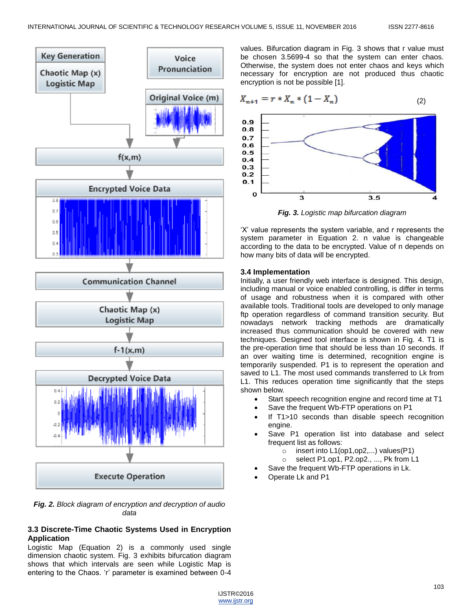

*Fig. 2. Block diagram of encryption and decryption of audio data*

## **3.3 Discrete-Time Chaotic Systems Used in Encryption Application**

Logistic Map (Equation 2) is a commonly used single dimension chaotic system. Fig. 3 exhibits bifurcation diagram shows that which intervals are seen while Logistic Map is entering to the Chaos. 'r' parameter is examined between 0-4

values. Bifurcation diagram in Fig. 3 shows that r value must be chosen 3.5699-4 so that the system can enter chaos. Otherwise, the system does not enter chaos and keys which necessary for encryption are not produced thus chaotic encryption is not be possible [1].

$$
X_{n+1} = r * X_n * (1 - X_n)
$$
 (2)



*Fig. 3. Logistic map bifurcation diagram*

‗X' value represents the system variable, and r represents the system parameter in Equation 2. n value is changeable according to the data to be encrypted. Value of n depends on how many bits of data will be encrypted.

## **3.4 Implementation**

Initially, a user friendly web interface is designed. This design, including manual or voice enabled controlling, is differ in terms of usage and robustness when it is compared with other available tools. Traditional tools are developed to only manage ftp operation regardless of command transition security. But nowadays network tracking methods are dramatically increased thus communication should be covered with new techniques. Designed tool interface is shown in Fig. 4. T1 is the pre-operation time that should be less than 10 seconds. If an over waiting time is determined, recognition engine is temporarily suspended. P1 is to represent the operation and saved to L1. The most used commands transferred to Lk from L1. This reduces operation time significantly that the steps shown below.

- Start speech recognition engine and record time at T1
- Save the frequent Wb-FTP operations on P1
- If T1>10 seconds than disable speech recognition engine.
- Save P1 operation list into database and select frequent list as follows:
	- $\circ$  insert into L1(op1,op2,...) values(P1)
	- o select P1.op1, P2.op2., ..., Pk from L1
- Save the frequent Wb-FTP operations in Lk.
- Operate Lk and P1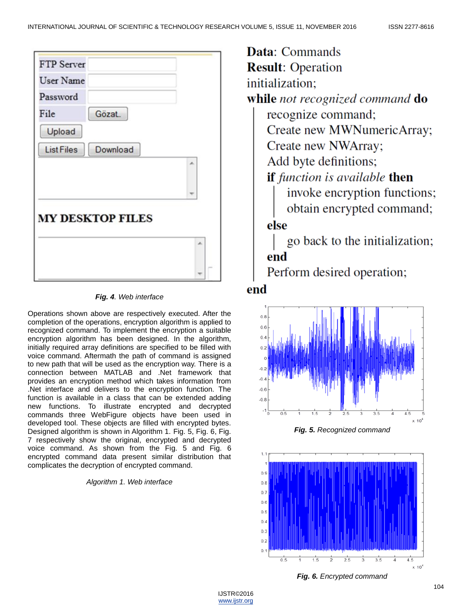

## *Fig. 4. Web interface*

Operations shown above are respectively executed. After the completion of the operations, encryption algorithm is applied to recognized command. To implement the encryption a suitable encryption algorithm has been designed. In the algorithm, initially required array definitions are specified to be filled with voice command. Aftermath the path of command is assigned to new path that will be used as the encryption way. There is a connection between MATLAB and .Net framework that provides an encryption method which takes information from .Net interface and delivers to the encryption function. The function is available in a class that can be extended adding new functions. To illustrate encrypted and decrypted commands three WebFigure objects have been used in developed tool. These objects are filled with encrypted bytes. Designed algorithm is shown in Algorithm 1. Fig. 5, Fig. 6, Fig. 7 respectively show the original, encrypted and decrypted voice command. As shown from the Fig. 5 and Fig. 6 encrypted command data present similar distribution that complicates the decryption of encrypted command.

## *Algorithm 1. Web interface*

**Data:** Commands **Result: Operation** initialization; while not recognized command do recognize command: Create new MWNumericArray; Create new NWArray; Add byte definitions; if function is available then invoke encryption functions; obtain encrypted command; else go back to the initialization; end

Perform desired operation;

## end







*Fig. 6. Encrypted command*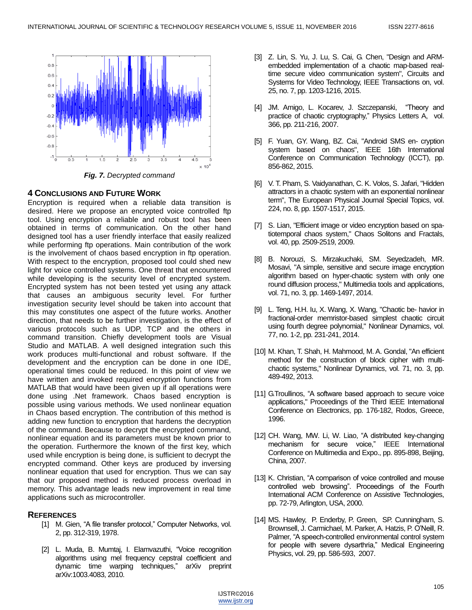

*Fig. 7. Decrypted command*

## **4 CONCLUSIONS AND FUTURE WORK**

Encryption is required when a reliable data transition is desired. Here we propose an encrypted voice controlled ftp tool. Using encryption a reliable and robust tool has been obtained in terms of communication. On the other hand designed tool has a user friendly interface that easily realized while performing ftp operations. Main contribution of the work is the involvement of chaos based encryption in ftp operation. With respect to the encryption, proposed tool could shed new light for voice controlled systems. One threat that encountered while developing is the security level of encrypted system. Encrypted system has not been tested yet using any attack that causes an ambiguous security level. For further investigation security level should be taken into account that this may constitutes one aspect of the future works. Another direction, that needs to be further investigation, is the effect of various protocols such as UDP, TCP and the others in command transition. Chiefly development tools are Visual Studio and MATLAB. A well designed integration such this work produces multi-functional and robust software. If the development and the encryption can be done in one IDE, operational times could be reduced. In this point of view we have written and invoked required encryption functions from MATLAB that would have been given up if all operations were done using .Net framework. Chaos based encryption is possible using various methods. We used nonlinear equation in Chaos based encryption. The contribution of this method is adding new function to encryption that hardens the decryption of the command. Because to decrypt the encrypted command, nonlinear equation and its parameters must be known prior to the operation. Furthermore the known of the first key, which used while encryption is being done, is sufficient to decrypt the encrypted command. Other keys are produced by inversing nonlinear equation that used for encryption. Thus we can say that our proposed method is reduced process overload in memory. This advantage leads new improvement in real time applications such as microcontroller.

## **REFERENCES**

- [1] M. Gien, "A file transfer protocol," Computer Networks, vol. 2, pp. 312-319, 1978.
- [2] L. Muda, B. Mumtaj, I. Elamvazuthi, "Voice recognition algorithms using mel frequency cepstral coefficient and dynamic time warping techniques," arXiv preprint arXiv:1003.4083, 2010.
- [3] Z. Lin, S. Yu, J. Lu, S. Cai, G. Chen, "Design and ARMembedded implementation of a chaotic map-based realtime secure video communication system", Circuits and Systems for Video Technology, IEEE Transactions on, vol. 25, no. 7, pp. 1203-1216, 2015.
- [4] JM. Amigo, L. Kocarev, J. Szczepanski, "Theory and practice of chaotic cryptography," Physics Letters A, vol. 366, pp. 211-216, 2007.
- [5] F. Yuan, GY. Wang, BZ. Cai, "Android SMS en- cryption system based on chaos", IEEE 16th International Conference on Communication Technology (ICCT), pp. 856-862, 2015.
- [6] V. T. Pham, S. Vaidyanathan, C. K. Volos, S. Jafari, "Hidden attractors in a chaotic system with an exponential nonlinear term", The European Physical Journal Special Topics, vol. 224, no. 8, pp. 1507-1517, 2015.
- [7] S. Lian, "Efficient image or video encryption based on spatiotemporal chaos system," Chaos Solitons and Fractals, vol. 40, pp. 2509-2519, 2009.
- [8] B. Norouzi, S. Mirzakuchaki, SM. Seyedzadeh, MR. Mosavi, "A simple, sensitive and secure image encryption algorithm based on hyper-chaotic system with only one round diffusion process," Multimedia tools and applications, vol. 71, no. 3, pp. 1469-1497, 2014.
- [9] L. Teng, H.H. Iu, X. Wang, X. Wang, "Chaotic be- havior in fractional-order memristor-based simplest chaotic circuit using fourth degree polynomial," Nonlinear Dynamics, vol. 77, no. 1-2, pp. 231-241, 2014.
- [10] M. Khan, T. Shah, H. Mahmood, M. A. Gondal, "An efficient method for the construction of block cipher with multichaotic systems," Nonlinear Dynamics, vol. 71, no. 3, pp. 489-492, 2013.
- [11] G.Troullinos, "A software based approach to secure voice applications," Proceedings of the Third IEEE International Conference on Electronics, pp. 176-182, Rodos, Greece, 1996.
- [12] CH. Wang, MW. Li, W. Liao, "A distributed key-changing mechanism for secure voice," IEEE International Conference on Multimedia and Expo., pp. 895-898, Beijing, China, 2007.
- [13] K. Christian, "A comparison of voice controlled and mouse controlled web browsing". Proceedings of the Fourth International ACM Conference on Assistive Technologies, pp. 72-79, Arlington, USA, 2000.
- [14] MS. Hawley, P. Enderby, P. Green, SP. Cunningham, S. Brownsell, J. Carmichael, M. Parker, A. Hatzis, P. O'Neill, R. Palmer, "A speech-controlled environmental control system for people with severe dysarthria," Medical Engineering Physics, vol. 29, pp. 586-593, 2007.